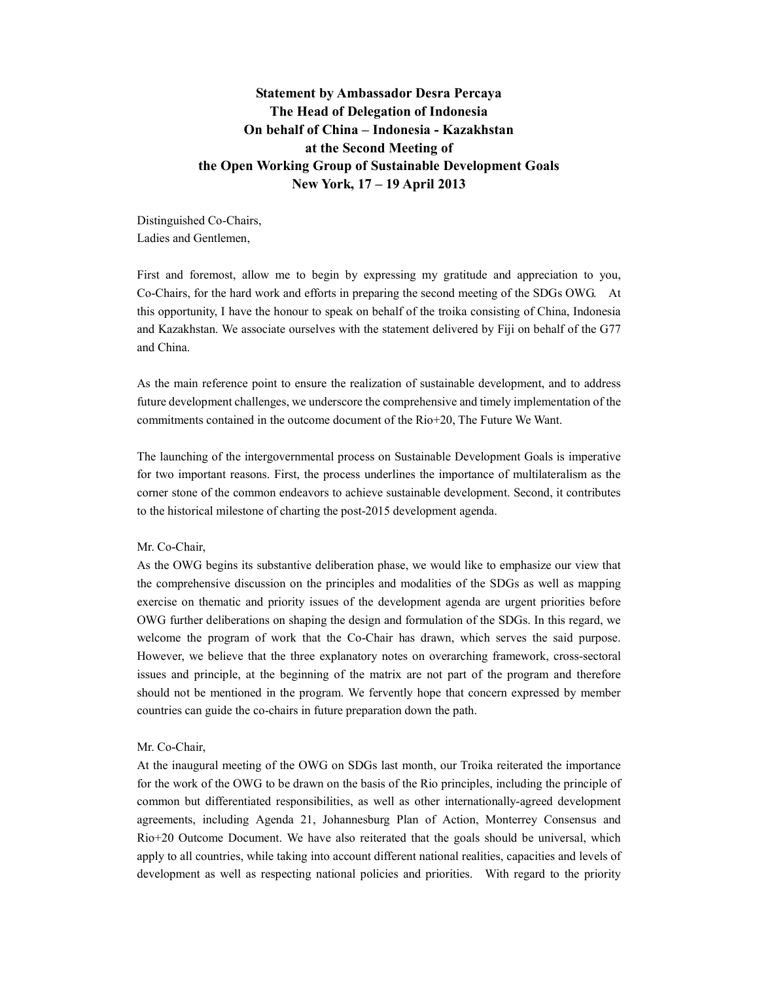# **Statement by Ambassador Desra Percaya The Head of Delegation of Indonesia On behalf of China – Indonesia - Kazakhstan at the Second Meeting of the Open Working Group of Sustainable Development Goals New York, 17 – 19 April 2013**

Distinguished Co-Chairs, Ladies and Gentlemen,

First and foremost, allow me to begin by expressing my gratitude and appreciation to you, Co-Chairs, for the hard work and efforts in preparing the second meeting of the SDGs OWG. At this opportunity, I have the honour to speak on behalf of the troika consisting of China, Indonesia and Kazakhstan. We associate ourselves with the statement delivered by Fiji on behalf of the G77 and China.

As the main reference point to ensure the realization of sustainable development, and to address future development challenges, we underscore the comprehensive and timely implementation of the commitments contained in the outcome document of the Rio+20, The Future We Want.

The launching of the intergovernmental process on Sustainable Development Goals is imperative for two important reasons. First, the process underlines the importance of multilateralism as the corner stone of the common endeavors to achieve sustainable development. Second, it contributes to the historical milestone of charting the post-2015 development agenda.

### Mr. Co-Chair,

As the OWG begins its substantive deliberation phase, we would like to emphasize our view that the comprehensive discussion on the principles and modalities of the SDGs as well as mapping exercise on thematic and priority issues of the development agenda are urgent priorities before OWG further deliberations on shaping the design and formulation of the SDGs. In this regard, we welcome the program of work that the Co-Chair has drawn, which serves the said purpose. However, we believe that the three explanatory notes on overarching framework, cross-sectoral issues and principle, at the beginning of the matrix are not part of the program and therefore should not be mentioned in the program. We fervently hope that concern expressed by member countries can guide the co-chairs in future preparation down the path.

#### Mr. Co-Chair,

At the inaugural meeting of the OWG on SDGs last month, our Troika reiterated the importance for the work of the OWG to be drawn on the basis of the Rio principles, including the principle of common but differentiated responsibilities, as well as other internationally-agreed development agreements, including Agenda 21, Johannesburg Plan of Action, Monterrey Consensus and Rio+20 Outcome Document. We have also reiterated that the goals should be universal, which apply to all countries, while taking into account different national realities, capacities and levels of development as well as respecting national policies and priorities. With regard to the priority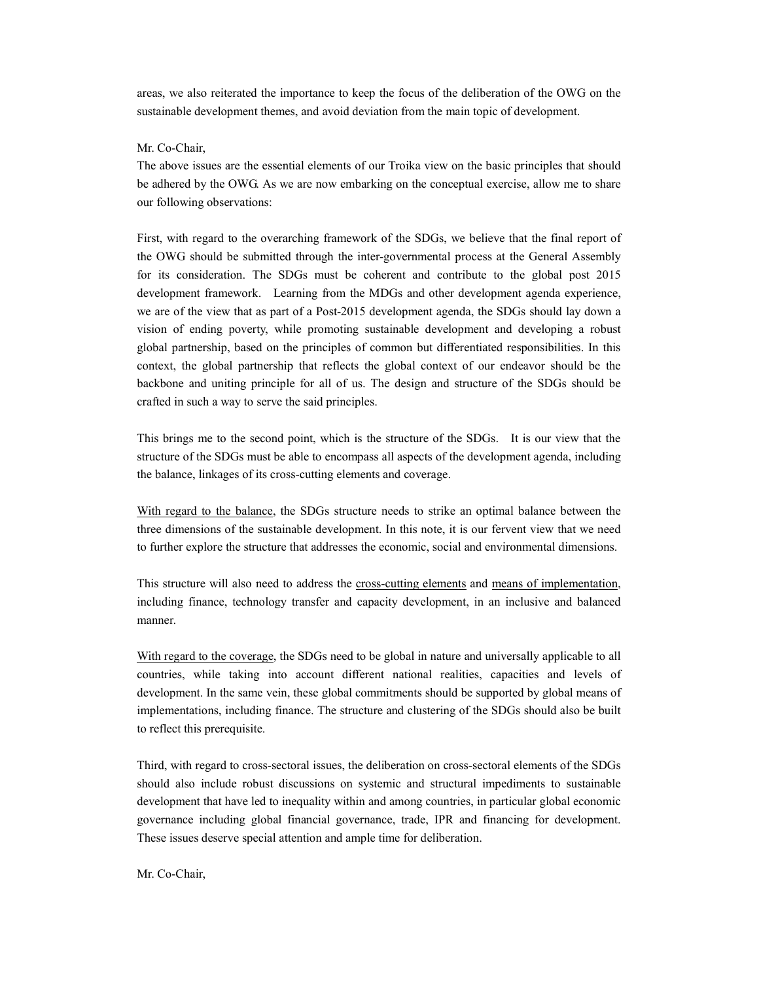areas, we also reiterated the importance to keep the focus of the deliberation of the OWG on the sustainable development themes, and avoid deviation from the main topic of development.

#### Mr. Co-Chair,

The above issues are the essential elements of our Troika view on the basic principles that should be adhered by the OWG. As we are now embarking on the conceptual exercise, allow me to share our following observations:

First, with regard to the overarching framework of the SDGs, we believe that the final report of the OWG should be submitted through the inter-governmental process at the General Assembly for its consideration. The SDGs must be coherent and contribute to the global post 2015 development framework. Learning from the MDGs and other development agenda experience, we are of the view that as part of a Post-2015 development agenda, the SDGs should lay down a vision of ending poverty, while promoting sustainable development and developing a robust global partnership, based on the principles of common but differentiated responsibilities. In this context, the global partnership that reflects the global context of our endeavor should be the backbone and uniting principle for all of us. The design and structure of the SDGs should be crafted in such a way to serve the said principles.

This brings me to the second point, which is the structure of the SDGs. It is our view that the structure of the SDGs must be able to encompass all aspects of the development agenda, including the balance, linkages of its cross-cutting elements and coverage.

With regard to the balance, the SDGs structure needs to strike an optimal balance between the three dimensions of the sustainable development. In this note, it is our fervent view that we need to further explore the structure that addresses the economic, social and environmental dimensions.

This structure will also need to address the cross-cutting elements and means of implementation, including finance, technology transfer and capacity development, in an inclusive and balanced manner.

With regard to the coverage, the SDGs need to be global in nature and universally applicable to all countries, while taking into account different national realities, capacities and levels of development. In the same vein, these global commitments should be supported by global means of implementations, including finance. The structure and clustering of the SDGs should also be built to reflect this prerequisite.

Third, with regard to cross-sectoral issues, the deliberation on cross-sectoral elements of the SDGs should also include robust discussions on systemic and structural impediments to sustainable development that have led to inequality within and among countries, in particular global economic governance including global financial governance, trade, IPR and financing for development. These issues deserve special attention and ample time for deliberation.

Mr. Co-Chair,